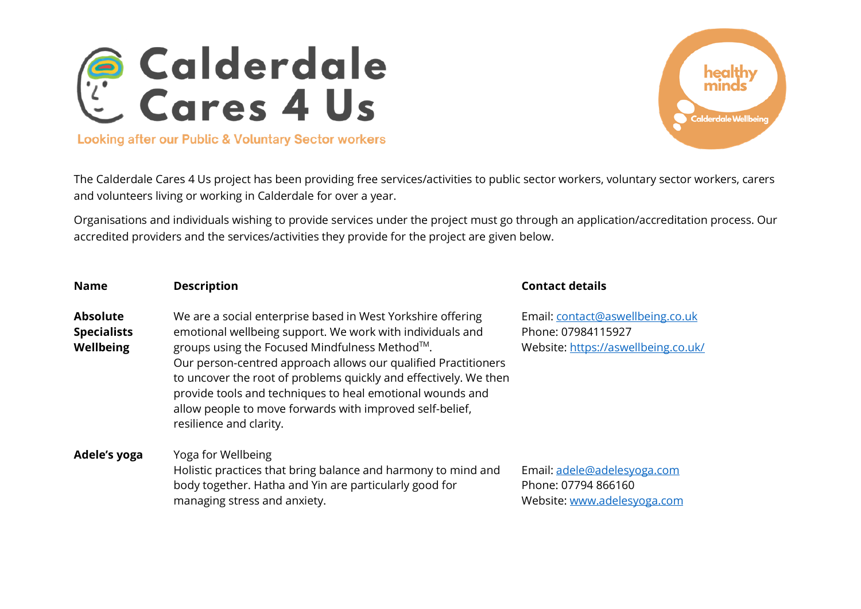



The Calderdale Cares 4 Us project has been providing free services/activities to public sector workers, voluntary sector workers, carers and volunteers living or working in Calderdale for over a year.

Organisations and individuals wishing to provide services under the project must go through an application/accreditation process. Our accredited providers and the services/activities they provide for the project are given below.

| <b>Name</b>                                               | <b>Description</b>                                                                                                                                                                                                                                                                                                                                                                                                                                                  | <b>Contact details</b>                                                                        |
|-----------------------------------------------------------|---------------------------------------------------------------------------------------------------------------------------------------------------------------------------------------------------------------------------------------------------------------------------------------------------------------------------------------------------------------------------------------------------------------------------------------------------------------------|-----------------------------------------------------------------------------------------------|
| <b>Absolute</b><br><b>Specialists</b><br><b>Wellbeing</b> | We are a social enterprise based in West Yorkshire offering<br>emotional wellbeing support. We work with individuals and<br>groups using the Focused Mindfulness Method™.<br>Our person-centred approach allows our qualified Practitioners<br>to uncover the root of problems quickly and effectively. We then<br>provide tools and techniques to heal emotional wounds and<br>allow people to move forwards with improved self-belief,<br>resilience and clarity. | Email: contact@aswellbeing.co.uk<br>Phone: 07984115927<br>Website: https://aswellbeing.co.uk/ |
| Adele's yoga                                              | Yoga for Wellbeing<br>Holistic practices that bring balance and harmony to mind and<br>body together. Hatha and Yin are particularly good for<br>managing stress and anxiety.                                                                                                                                                                                                                                                                                       | Email: adele@adelesyoga.com<br>Phone: 07794 866160<br>Website: www.adelesyoga.com             |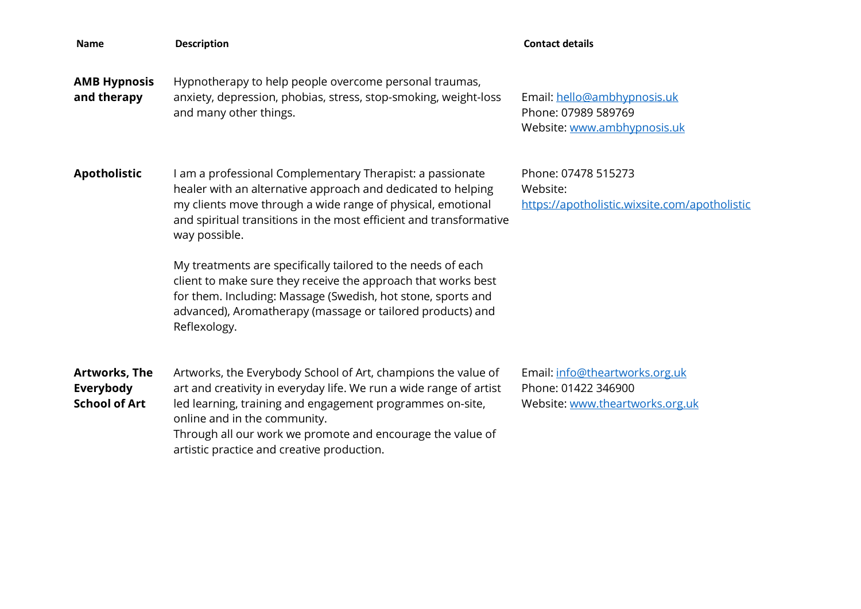| Name                                                      | <b>Description</b>                                                                                                                                                                                                                                                                                                                           | <b>Contact details</b>                                                                   |
|-----------------------------------------------------------|----------------------------------------------------------------------------------------------------------------------------------------------------------------------------------------------------------------------------------------------------------------------------------------------------------------------------------------------|------------------------------------------------------------------------------------------|
| <b>AMB Hypnosis</b><br>and therapy                        | Hypnotherapy to help people overcome personal traumas,<br>anxiety, depression, phobias, stress, stop-smoking, weight-loss<br>and many other things.                                                                                                                                                                                          | Email: hello@ambhypnosis.uk<br>Phone: 07989 589769<br>Website: www.ambhypnosis.uk        |
| <b>Apotholistic</b>                                       | I am a professional Complementary Therapist: a passionate<br>healer with an alternative approach and dedicated to helping<br>my clients move through a wide range of physical, emotional<br>and spiritual transitions in the most efficient and transformative<br>way possible.                                                              | Phone: 07478 515273<br>Website:<br>https://apotholistic.wixsite.com/apotholistic         |
|                                                           | My treatments are specifically tailored to the needs of each<br>client to make sure they receive the approach that works best<br>for them. Including: Massage (Swedish, hot stone, sports and<br>advanced), Aromatherapy (massage or tailored products) and<br>Reflexology.                                                                  |                                                                                          |
| <b>Artworks, The</b><br>Everybody<br><b>School of Art</b> | Artworks, the Everybody School of Art, champions the value of<br>art and creativity in everyday life. We run a wide range of artist<br>led learning, training and engagement programmes on-site,<br>online and in the community.<br>Through all our work we promote and encourage the value of<br>artistic practice and creative production. | Email: info@theartworks.org.uk<br>Phone: 01422 346900<br>Website: www.theartworks.org.uk |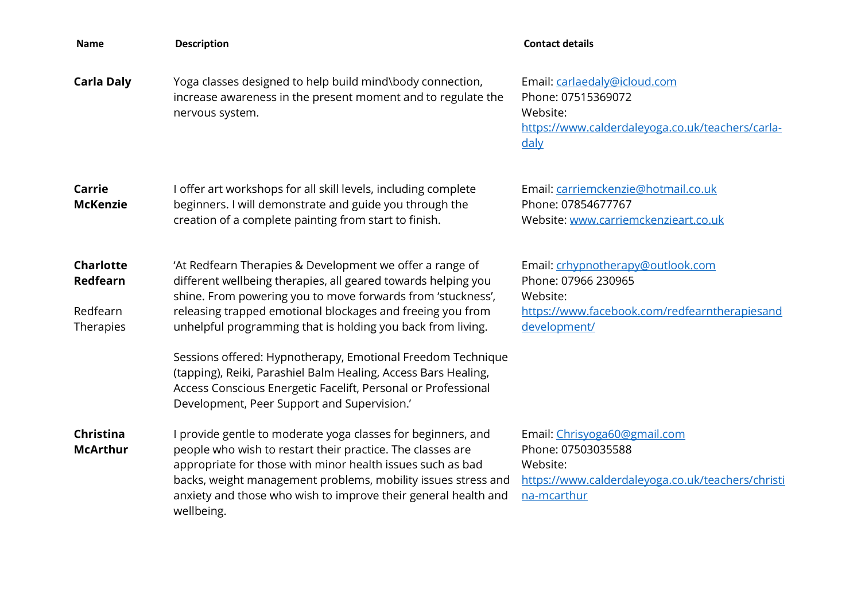| <b>Name</b>                                           | <b>Description</b>                                                                                                                                                                                                                                                                                                                        | <b>Contact details</b>                                                                                                                |
|-------------------------------------------------------|-------------------------------------------------------------------------------------------------------------------------------------------------------------------------------------------------------------------------------------------------------------------------------------------------------------------------------------------|---------------------------------------------------------------------------------------------------------------------------------------|
| <b>Carla Daly</b>                                     | Yoga classes designed to help build mind\body connection,<br>increase awareness in the present moment and to regulate the<br>nervous system.                                                                                                                                                                                              | Email: carlaedaly@icloud.com<br>Phone: 07515369072<br>Website:<br>https://www.calderdaleyoga.co.uk/teachers/carla-<br>daly            |
| Carrie<br><b>McKenzie</b>                             | I offer art workshops for all skill levels, including complete<br>beginners. I will demonstrate and guide you through the<br>creation of a complete painting from start to finish.                                                                                                                                                        | Email: carriemckenzie@hotmail.co.uk<br>Phone: 07854677767<br>Website: www.carriemckenzieart.co.uk                                     |
| <b>Charlotte</b><br>Redfearn<br>Redfearn<br>Therapies | 'At Redfearn Therapies & Development we offer a range of<br>different wellbeing therapies, all geared towards helping you<br>shine. From powering you to move forwards from 'stuckness',<br>releasing trapped emotional blockages and freeing you from<br>unhelpful programming that is holding you back from living.                     | Email: crhypnotherapy@outlook.com<br>Phone: 07966 230965<br>Website:<br>https://www.facebook.com/redfearntherapiesand<br>development/ |
|                                                       | Sessions offered: Hypnotherapy, Emotional Freedom Technique<br>(tapping), Reiki, Parashiel Balm Healing, Access Bars Healing,<br>Access Conscious Energetic Facelift, Personal or Professional<br>Development, Peer Support and Supervision.'                                                                                             |                                                                                                                                       |
| Christina<br><b>McArthur</b>                          | I provide gentle to moderate yoga classes for beginners, and<br>people who wish to restart their practice. The classes are<br>appropriate for those with minor health issues such as bad<br>backs, weight management problems, mobility issues stress and<br>anxiety and those who wish to improve their general health and<br>wellbeing. | Email: Chrisyoga60@gmail.com<br>Phone: 07503035588<br>Website:<br>https://www.calderdaleyoga.co.uk/teachers/christi<br>na-mcarthur    |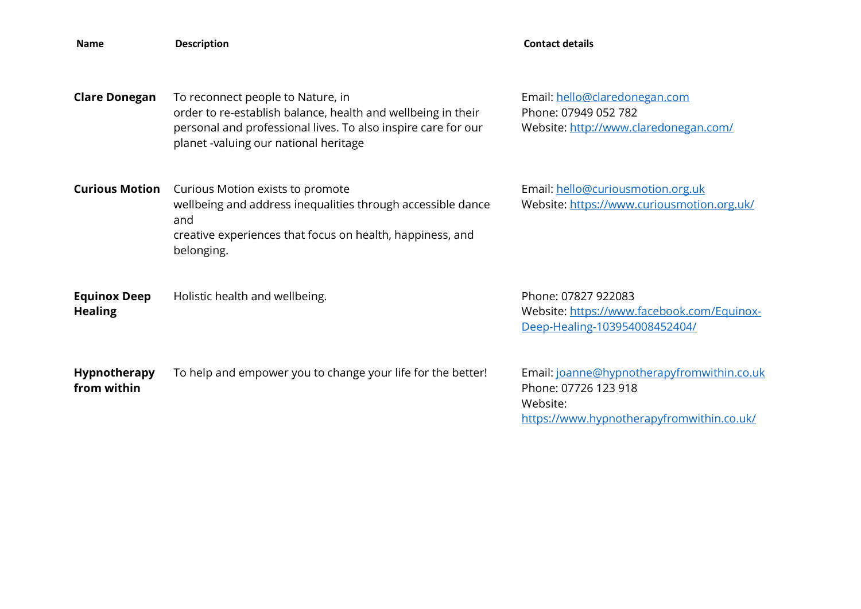| <b>Name</b>                           | <b>Description</b>                                                                                                                                                                                          | <b>Contact details</b>                                                                                                      |
|---------------------------------------|-------------------------------------------------------------------------------------------------------------------------------------------------------------------------------------------------------------|-----------------------------------------------------------------------------------------------------------------------------|
| <b>Clare Donegan</b>                  | To reconnect people to Nature, in<br>order to re-establish balance, health and wellbeing in their<br>personal and professional lives. To also inspire care for our<br>planet -valuing our national heritage | Email: hello@claredonegan.com<br>Phone: 07949 052 782<br>Website: http://www.claredonegan.com/                              |
| <b>Curious Motion</b>                 | Curious Motion exists to promote<br>wellbeing and address inequalities through accessible dance<br>and<br>creative experiences that focus on health, happiness, and<br>belonging.                           | Email: hello@curiousmotion.org.uk<br>Website: https://www.curiousmotion.org.uk/                                             |
| <b>Equinox Deep</b><br><b>Healing</b> | Holistic health and wellbeing.                                                                                                                                                                              | Phone: 07827 922083<br>Website: https://www.facebook.com/Equinox-<br>Deep-Healing-103954008452404/                          |
| Hypnotherapy<br>from within           | To help and empower you to change your life for the better!                                                                                                                                                 | Email: joanne@hypnotherapyfromwithin.co.uk<br>Phone: 07726 123 918<br>Website:<br>https://www.hypnotherapyfromwithin.co.uk/ |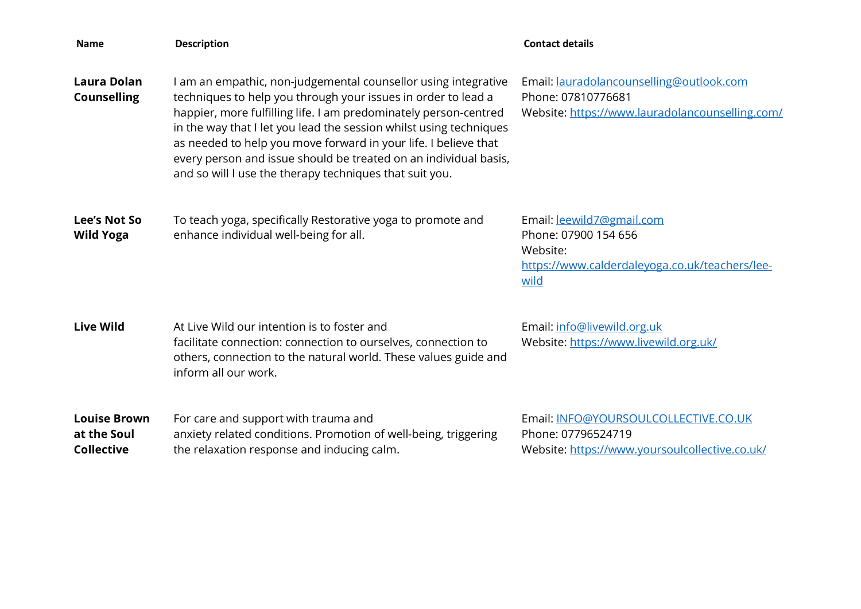| <b>Name</b>                                             | <b>Description</b>                                                                                                                                                                                                                                                                                                                                                                                                                                                        | <b>Contact details</b>                                                                                                  |
|---------------------------------------------------------|---------------------------------------------------------------------------------------------------------------------------------------------------------------------------------------------------------------------------------------------------------------------------------------------------------------------------------------------------------------------------------------------------------------------------------------------------------------------------|-------------------------------------------------------------------------------------------------------------------------|
| <b>Laura Dolan</b><br><b>Counselling</b>                | am an empathic, non-judgemental counsellor using integrative<br>techniques to help you through your issues in order to lead a<br>happier, more fulfilling life. I am predominately person-centred<br>in the way that I let you lead the session whilst using techniques<br>as needed to help you move forward in your life. I believe that<br>every person and issue should be treated on an individual basis,<br>and so will I use the therapy techniques that suit you. | Email: lauradolancounselling@outlook.com<br>Phone: 07810776681<br>Website: https://www.lauradolancounselling.com/       |
| <b>Lee's Not So</b><br><b>Wild Yoga</b>                 | To teach yoga, specifically Restorative yoga to promote and<br>enhance individual well-being for all.                                                                                                                                                                                                                                                                                                                                                                     | Email: leewild7@gmail.com<br>Phone: 07900 154 656<br>Website:<br>https://www.calderdaleyoga.co.uk/teachers/lee-<br>wild |
| <b>Live Wild</b>                                        | At Live Wild our intention is to foster and<br>facilitate connection: connection to ourselves, connection to<br>others, connection to the natural world. These values guide and<br>inform all our work.                                                                                                                                                                                                                                                                   | Email: info@livewild.org.uk<br>Website: https://www.livewild.org.uk/                                                    |
| <b>Louise Brown</b><br>at the Soul<br><b>Collective</b> | For care and support with trauma and<br>anxiety related conditions. Promotion of well-being, triggering<br>the relaxation response and inducing calm.                                                                                                                                                                                                                                                                                                                     | Email: INFO@YOURSOULCOLLECTIVE.CO.UK<br>Phone: 07796524719<br>Website: https://www.yoursoulcollective.co.uk/            |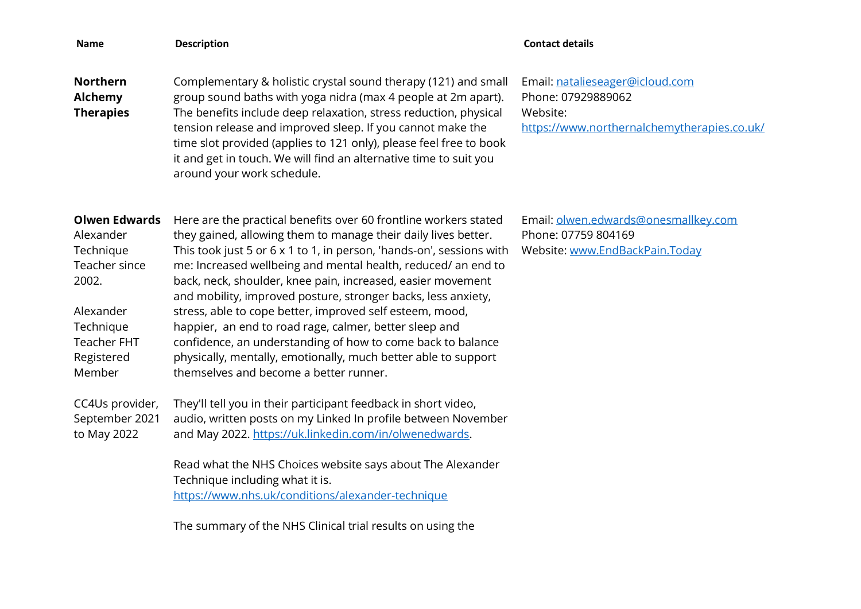| <b>Name</b>                                                                                                                                      | <b>Description</b>                                                                                                                                                                                                                                                                                                                                                                                                                                                                                                                                                                                                                                                                                           | <b>Contact details</b>                                                                                           |
|--------------------------------------------------------------------------------------------------------------------------------------------------|--------------------------------------------------------------------------------------------------------------------------------------------------------------------------------------------------------------------------------------------------------------------------------------------------------------------------------------------------------------------------------------------------------------------------------------------------------------------------------------------------------------------------------------------------------------------------------------------------------------------------------------------------------------------------------------------------------------|------------------------------------------------------------------------------------------------------------------|
| <b>Northern</b><br>Alchemy<br><b>Therapies</b>                                                                                                   | Complementary & holistic crystal sound therapy (121) and small<br>group sound baths with yoga nidra (max 4 people at 2m apart).<br>The benefits include deep relaxation, stress reduction, physical<br>tension release and improved sleep. If you cannot make the<br>time slot provided (applies to 121 only), please feel free to book<br>it and get in touch. We will find an alternative time to suit you<br>around your work schedule.                                                                                                                                                                                                                                                                   | Email: natalieseager@icloud.com<br>Phone: 07929889062<br>Website:<br>https://www.northernalchemytherapies.co.uk/ |
| <b>Olwen Edwards</b><br>Alexander<br>Technique<br>Teacher since<br>2002.<br>Alexander<br>Technique<br><b>Teacher FHT</b><br>Registered<br>Member | Here are the practical benefits over 60 frontline workers stated<br>they gained, allowing them to manage their daily lives better.<br>This took just 5 or 6 x 1 to 1, in person, 'hands-on', sessions with<br>me: Increased wellbeing and mental health, reduced/ an end to<br>back, neck, shoulder, knee pain, increased, easier movement<br>and mobility, improved posture, stronger backs, less anxiety,<br>stress, able to cope better, improved self esteem, mood,<br>happier, an end to road rage, calmer, better sleep and<br>confidence, an understanding of how to come back to balance<br>physically, mentally, emotionally, much better able to support<br>themselves and become a better runner. | Email: olwen.edwards@onesmallkey.com<br>Phone: 07759 804169<br>Website: www.EndBackPain.Today                    |
| CC4Us provider,<br>September 2021<br>to May 2022                                                                                                 | They'll tell you in their participant feedback in short video,<br>audio, written posts on my Linked In profile between November<br>and May 2022. https://uk.linkedin.com/in/olwenedwards.<br>Read what the NHS Choices website says about The Alexander<br>Technique including what it is.<br>https://www.nhs.uk/conditions/alexander-technique                                                                                                                                                                                                                                                                                                                                                              |                                                                                                                  |

The summary of the NHS Clinical trial results on using the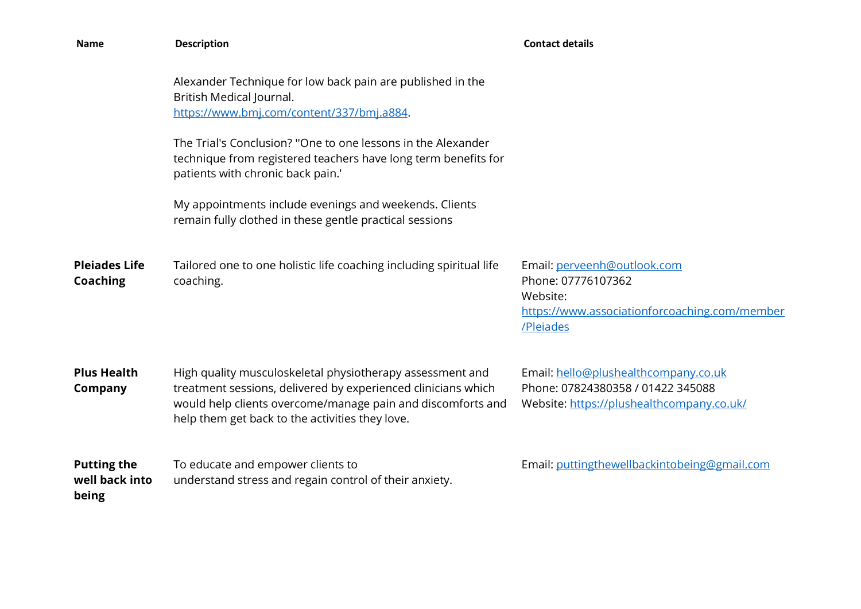| <b>Name</b>                                   | <b>Description</b>                                                                                                                                                                                                                           | <b>Contact details</b>                                                                                                      |
|-----------------------------------------------|----------------------------------------------------------------------------------------------------------------------------------------------------------------------------------------------------------------------------------------------|-----------------------------------------------------------------------------------------------------------------------------|
|                                               | Alexander Technique for low back pain are published in the<br>British Medical Journal.<br>https://www.bmj.com/content/337/bmj.a884.<br>The Trial's Conclusion? "One to one lessons in the Alexander                                          |                                                                                                                             |
|                                               | technique from registered teachers have long term benefits for<br>patients with chronic back pain.'                                                                                                                                          |                                                                                                                             |
|                                               | My appointments include evenings and weekends. Clients<br>remain fully clothed in these gentle practical sessions                                                                                                                            |                                                                                                                             |
| <b>Pleiades Life</b><br><b>Coaching</b>       | Tailored one to one holistic life coaching including spiritual life<br>coaching.                                                                                                                                                             | Email: perveenh@outlook.com<br>Phone: 07776107362<br>Website:<br>https://www.associationforcoaching.com/member<br>/Pleiades |
| <b>Plus Health</b><br><b>Company</b>          | High quality musculoskeletal physiotherapy assessment and<br>treatment sessions, delivered by experienced clinicians which<br>would help clients overcome/manage pain and discomforts and<br>help them get back to the activities they love. | Email: hello@plushealthcompany.co.uk<br>Phone: 07824380358 / 01422 345088<br>Website: https://plushealthcompany.co.uk/      |
| <b>Putting the</b><br>well back into<br>being | To educate and empower clients to<br>understand stress and regain control of their anxiety.                                                                                                                                                  | Email: puttingthewellbackintobeing@gmail.com                                                                                |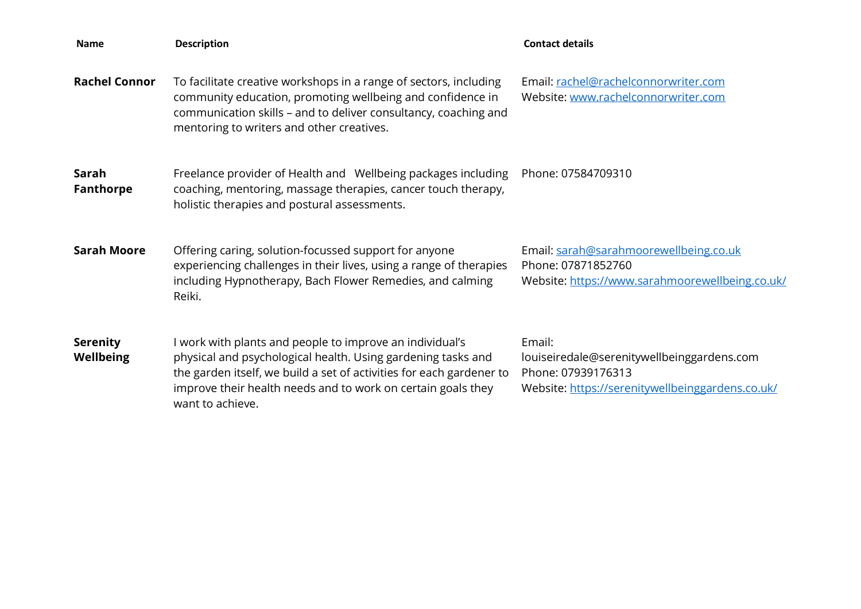| <b>Name</b>                         | <b>Description</b>                                                                                                                                                                                                                                                                   | <b>Contact details</b>                                                                                                         |
|-------------------------------------|--------------------------------------------------------------------------------------------------------------------------------------------------------------------------------------------------------------------------------------------------------------------------------------|--------------------------------------------------------------------------------------------------------------------------------|
| <b>Rachel Connor</b>                | To facilitate creative workshops in a range of sectors, including<br>community education, promoting wellbeing and confidence in<br>communication skills - and to deliver consultancy, coaching and<br>mentoring to writers and other creatives.                                      | Email: rachel@rachelconnorwriter.com<br>Website: www.rachelconnorwriter.com                                                    |
| Sarah<br><b>Fanthorpe</b>           | Freelance provider of Health and Wellbeing packages including<br>coaching, mentoring, massage therapies, cancer touch therapy,<br>holistic therapies and postural assessments.                                                                                                       | Phone: 07584709310                                                                                                             |
| <b>Sarah Moore</b>                  | Offering caring, solution-focussed support for anyone<br>experiencing challenges in their lives, using a range of therapies<br>including Hypnotherapy, Bach Flower Remedies, and calming<br>Reiki.                                                                                   | Email: sarah@sarahmoorewellbeing.co.uk<br>Phone: 07871852760<br>Website: https://www.sarahmoorewellbeing.co.uk/                |
| <b>Serenity</b><br><b>Wellbeing</b> | I work with plants and people to improve an individual's<br>physical and psychological health. Using gardening tasks and<br>the garden itself, we build a set of activities for each gardener to<br>improve their health needs and to work on certain goals they<br>want to achieve. | Email:<br>louiseiredale@serenitywellbeinggardens.com<br>Phone: 07939176313<br>Website: https://serenitywellbeinggardens.co.uk/ |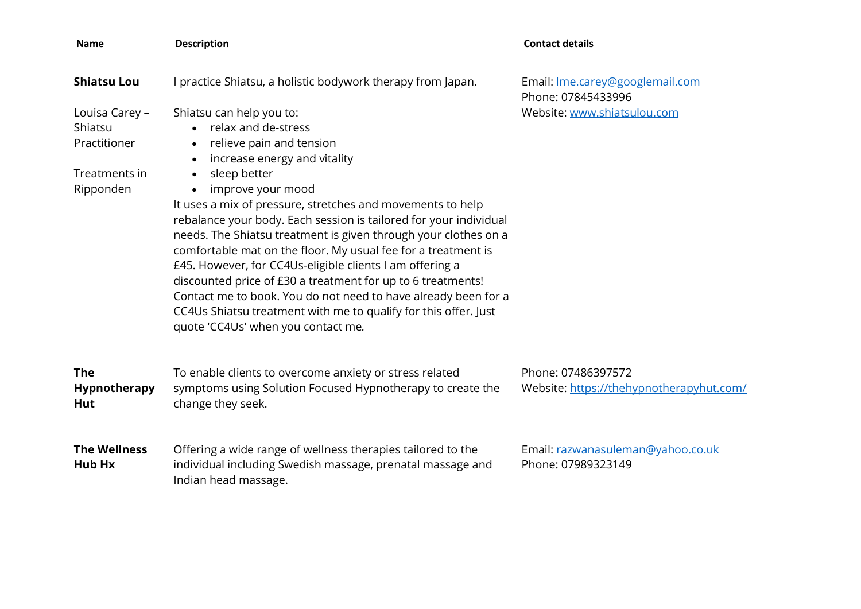| <b>Name</b>                                                             | <b>Description</b>                                                                                                                                                                                                                                                                                                                                                                                                                                                                                                                                                                                                                                                                                                                                                                  | <b>Contact details</b>                                         |
|-------------------------------------------------------------------------|-------------------------------------------------------------------------------------------------------------------------------------------------------------------------------------------------------------------------------------------------------------------------------------------------------------------------------------------------------------------------------------------------------------------------------------------------------------------------------------------------------------------------------------------------------------------------------------------------------------------------------------------------------------------------------------------------------------------------------------------------------------------------------------|----------------------------------------------------------------|
| <b>Shiatsu Lou</b>                                                      | I practice Shiatsu, a holistic bodywork therapy from Japan.                                                                                                                                                                                                                                                                                                                                                                                                                                                                                                                                                                                                                                                                                                                         | Email: Ime.carey@googlemail.com<br>Phone: 07845433996          |
| Louisa Carey -<br>Shiatsu<br>Practitioner<br>Treatments in<br>Ripponden | Shiatsu can help you to:<br>• relax and de-stress<br>relieve pain and tension<br>$\bullet$<br>increase energy and vitality<br>$\bullet$<br>sleep better<br>$\bullet$<br>improve your mood<br>$\bullet$<br>It uses a mix of pressure, stretches and movements to help<br>rebalance your body. Each session is tailored for your individual<br>needs. The Shiatsu treatment is given through your clothes on a<br>comfortable mat on the floor. My usual fee for a treatment is<br>£45. However, for CC4Us-eligible clients I am offering a<br>discounted price of £30 a treatment for up to 6 treatments!<br>Contact me to book. You do not need to have already been for a<br>CC4Us Shiatsu treatment with me to qualify for this offer. Just<br>quote 'CC4Us' when you contact me. | Website: www.shiatsulou.com                                    |
| <b>The</b><br>Hypnotherapy<br><b>Hut</b>                                | To enable clients to overcome anxiety or stress related<br>symptoms using Solution Focused Hypnotherapy to create the<br>change they seek.                                                                                                                                                                                                                                                                                                                                                                                                                                                                                                                                                                                                                                          | Phone: 07486397572<br>Website: https://thehypnotherapyhut.com/ |
| <b>The Wellness</b><br><b>Hub Hx</b>                                    | Offering a wide range of wellness therapies tailored to the<br>individual including Swedish massage, prenatal massage and<br>Indian head massage.                                                                                                                                                                                                                                                                                                                                                                                                                                                                                                                                                                                                                                   | Email: razwanasuleman@yahoo.co.uk<br>Phone: 07989323149        |